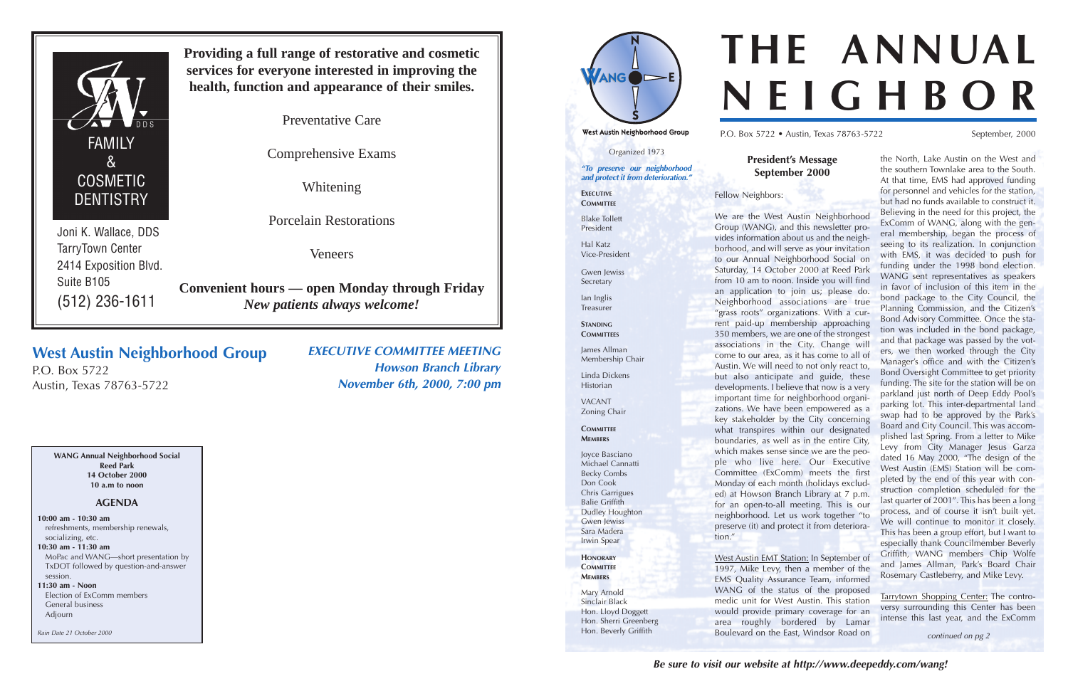Organized 1973

**"To preserve our neighborhood and protect it from deterioration."**

Gwen lewiss Secretary

**STANDING COMMITTEES** 

**EXECUTIVE COMMITTEE**

Blake Tollett President

Hal Katz Vice-President

Ian Inglis Treasurer

James Allman Membership Chair

Linda Dickens Historian

VACANT Zoning Chair

**COMMITTEE MEMBERS**

Joyce Basciano Michael Cannatti Becky Combs Don Cook Chris Garrigues Balie Griffith Dudley Houghton Gwen Jewiss Sara Madera

Irwin Spear

**HONORARY COMMITTEE MEMBERS**

Mary Arnold Sinclair Black Hon. Lloyd Doggett Hon. Sherri Greenberg Hon. Beverly Griffith

**President's Message September 2000** Fellow Neighbors: We are the West Austin Neighborhood Group (WANG), and this newsletter provides information about us and the neighborhood, and will serve as your invitation to our Annual Neighborhood Social on Saturday, 14 October 2000 at Reed Park from 10 am to noon. Inside you will find an application to join us; please do. Neighborhood associations are true "grass roots" organizations. With a current paid-up membership approaching 350 members, we are one of the strongest associations in the City. Change will come to our area, as it has come to all of Austin. We will need to not only react to, but also anticipate and guide, these developments. I believe that now is a very important time for neighborhood organizations. We have been empowered as a key stakeholder by the City concerning what transpires within our designated boundaries, as well as in the entire City, which makes sense since we are the people who live here. Our Executive Committee (ExComm) meets the first Monday of each month (holidays excluded) at Howson Branch Library at 7 p.m. for an open-to-all meeting. This is our neighborhood. Let us work together "to preserve (it) and protect it from deterioration." West Austin EMT Station: In September of the North, Lake Austin on the West and the southern Townlake area to the South. At that time, EMS had approved funding for personnel and vehicles for the station, but had no funds available to construct it. Believing in the need for this project, the ExComm of WANG, along with the general membership, began the process of seeing to its realization. In conjunction with EMS, it was decided to push for funding under the 1998 bond election. WANG sent representatives as speakers in favor of inclusion of this item in the bond package to the City Council, the Planning Commission, and the Citizen's Bond Advisory Committee. Once the station was included in the bond package, and that package was passed by the voters, we then worked through the City Manager's office and with the Citizen's Bond Oversight Committee to get priority funding. The site for the station will be on parkland just north of Deep Eddy Pool's parking lot. This inter-departmental land swap had to be approved by the Park's Board and City Council. This was accomplished last Spring. From a letter to Mike Levy from City Manager Jesus Garza dated 16 May 2000, "The design of the West Austin (EMS) Station will be completed by the end of this year with construction completion scheduled for the last quarter of 2001". This has been a long process, and of course it isn't built yet. We will continue to monitor it closely. This has been a group effort, but I want to especially thank Councilmember Beverly Griffith, WANG members Chip Wolfe and James Allman, Park's Board Chair Rosemary Castleberry, and Mike Levy.

1997, Mike Levy, then a member of the EMS Quality Assurance Team, informed WANG of the status of the proposed medic unit for West Austin. This station would provide primary coverage for an area roughly bordered by Lamar Boulevard on the East, Windsor Road on Tarrytown Shopping Center: The controversy surrounding this Center has been intense this last year, and the ExComm continued on pg 2

# **THE ANNUAL NEIGHBOR**

P.O. Box 5722 • Austin, Texas 78763-5722 September, 2000

## **West Austin Neighborhood Group**

P.O. Box 5722 Austin, Texas 78763-5722 **EXECUTIVE COMMITTEE MEETING Howson Branch Library**

**November 6th, 2000, 7:00 pm**



Joni K. Wallace, DDS TarryTown Center 2414 Exposition Blvd. Suite B105 (512) 236-1611

**Providing a full range of restorative and cosmetic services for everyone interested in improving the health, function and appearance of their smiles.**

Preventative Care

Comprehensive Exams

Whitening

Porcelain Restorations

Veneers

**Convenient hours — open Monday through Friday** *New patients always welcome!*

**WANG Annual Neighborhood Social Reed Park 14 October 2000 10 a.m to noon**

### **AGENDA**

**10:00 am - 10:30 am** refreshments, membership renewals, socializing, etc. **10:30 am - 11:30 am** MoPac and WANG—short presentation by TxDOT followed by question-and-answer session.

**11:30 am - Noon** Election of ExComm members General business Adjourn

Rain Date 21 October 2000





West Austin Neighborhood Group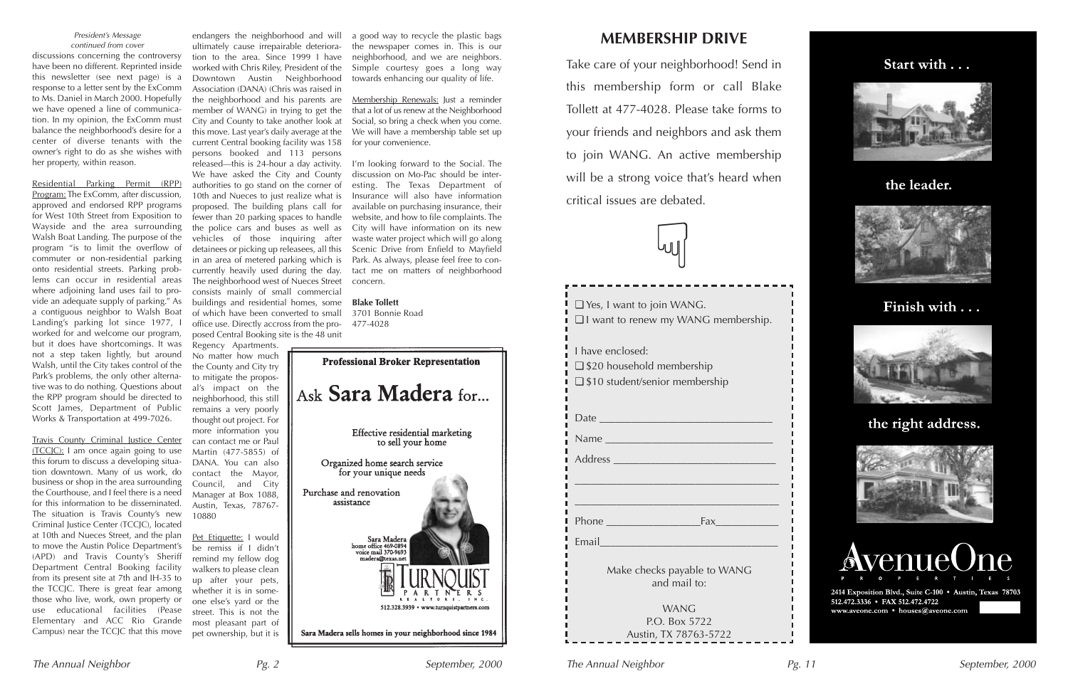



## the leader.



## Finish with . . .



## the right address.





2414 Exposition Blvd., Suite C-100 · Austin, Texas 78703 512.472.3336 • FAX 512.472.4722 www.aveone.com • houses@aveone.com

п

п

- I

Residential Parking Permit (RPP) Program: The ExComm, after discussion, approved and endorsed RPP programs for West 10th Street from Exposition to Wayside and the area surrounding Walsh Boat Landing. The purpose of the program "is to limit the overflow of commuter or non-residential parking onto residential streets. Parking problems can occur in residential areas where adjoining land uses fail to provide an adequate supply of parking." As a contiguous neighbor to Walsh Boat Landing's parking lot since 1977, I worked for and welcome our program, but it does have shortcomings. It was not a step taken lightly, but around Walsh, until the City takes control of the Park's problems, the only other alternative was to do nothing. Questions about the RPP program should be directed to Scott James, Department of Public Works & Transportation at 499-7026.

Travis County Criminal Justice Center (TCCJC): I am once again going to use this forum to discuss a developing situation downtown. Many of us work, do business or shop in the area surrounding the Courthouse, and I feel there is a need for this information to be disseminated. The situation is Travis County's new Criminal Justice Center (TCCJC), located at 10th and Nueces Street, and the plan to move the Austin Police Department's (APD) and Travis County's Sheriff Department Central Booking facility from its present site at 7th and IH-35 to the TCCJC. There is great fear among those who live, work, own property or use educational facilities (Pease Elementary and ACC Rio Grande Campus) near the TCCJC that this move

Pet Etiquette: I would be remiss if I didn't remind my fellow dog walkers to please clean up after your pets, whether it is in someone else's yard or the street. This is not the most pleasant part of pet ownership, but it is

discussions concerning the controversy have been no different. Reprinted inside this newsletter (see next page) is a response to a letter sent by the ExComm to Ms. Daniel in March 2000. Hopefully we have opened a line of communication. In my opinion, the ExComm must balance the neighborhood's desire for a center of diverse tenants with the owner's right to do as she wishes with her property, within reason. President's Message continued from cover

endangers the neighborhood and will ultimately cause irrepairable deterioration to the area. Since 1999 I have worked with Chris Riley, President of the Downtown Austin Neighborhood Association (DANA) (Chris was raised in the neighborhood and his parents are member of WANG) in trying to get the City and County to take another look at this move. Last year's daily average at the current Central booking facility was 158 persons booked and 113 persons released—this is 24-hour a day activity. We have asked the City and County authorities to go stand on the corner of 10th and Nueces to just realize what is proposed. The building plans call for fewer than 20 parking spaces to handle the police cars and buses as well as vehicles of those inquiring after detainees or picking up releasees, all this in an area of metered parking which is currently heavily used during the day. The neighborhood west of Nueces Street consists mainly of small commercial buildings and residential homes, some of which have been converted to small office use. Directly accross from the proposed Central Booking site is the 48 unit

Regency Apartments. No matter how much the County and City try to mitigate the proposal's impact on the neighborhood, this still remains a very poorly thought out project. For more information you can contact me or Paul Martin (477-5855) of DANA. You can also contact the Mayor, Council, and City Manager at Box 1088, Austin, Texas, 78767- 10880

a good way to recycle the plastic bags the newspaper comes in. This is our neighborhood, and we are neighbors. Simple courtesy goes a long way towards enhancing our quality of life.

Membership Renewals: Just a reminder that a lot of us renew at the Neighborhood Social, so bring a check when you come. We will have a membership table set up for your convenience.

I'm looking forward to the Social. The discussion on Mo-Pac should be interesting. The Texas Department of Insurance will also have information available on purchasing insurance, their website, and how to file complaints. The City will have information on its new waste water project which will go along Scenic Drive from Enfield to Mayfield Park. As always, please feel free to contact me on matters of neighborhood concern.

**Blake Tollett** 3701 Bonnie Road 477-4028



| $\Box$ Yes, I want to join WANG.<br>I I want to renew my WANG membership.                                     |
|---------------------------------------------------------------------------------------------------------------|
| I have enclosed:<br>$\Box$ \$20 household membership<br>$\Box$ \$10 student/senior membership                 |
| Date                                                                                                          |
| Email and the contract of the contract of the contract of the contract of the contract of the contract of the |
| Make checks payable to WANG<br>and mail to:<br><b>WANG</b><br>P.O. Box 5722                                   |
| Austin, TX 78763-5722                                                                                         |

## **MEMBERSHIP DRIVE**

Take care of your neighborhood! Send in this membership form or call Blake Tollett at 477-4028. Please take forms to your friends and neighbors and ask them to join WANG. An active membership will be a strong voice that's heard when critical issues are debated.

 $\bigcap$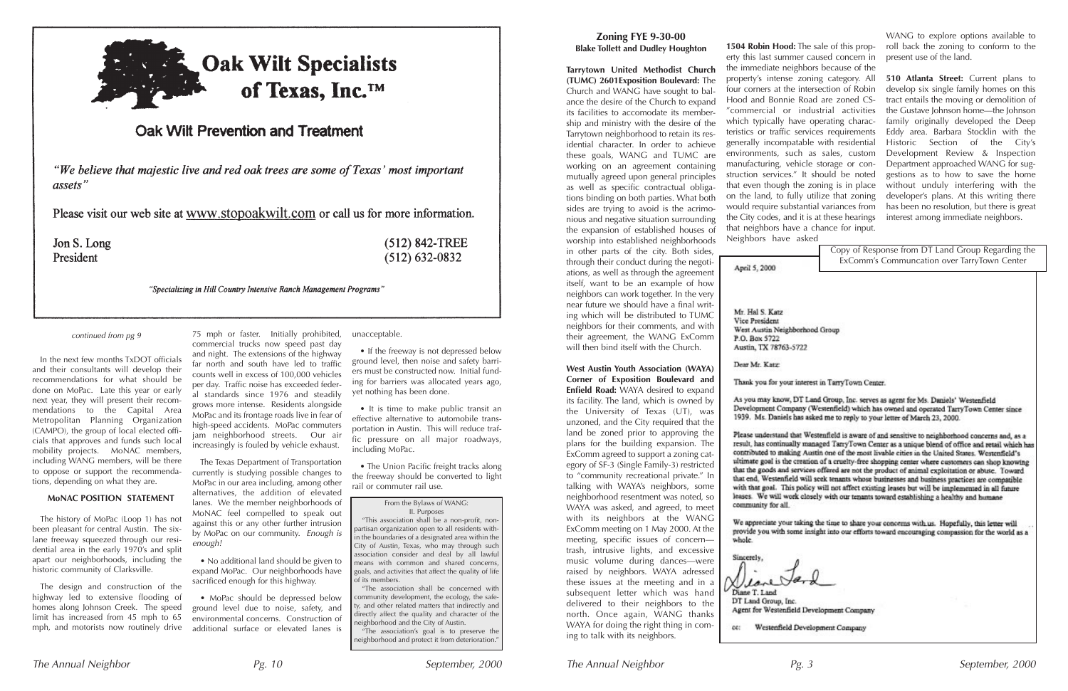

## Oak Wilt Prevention and Treatment

"We believe that majestic live and red oak trees are some of Texas' most important assets"

Please visit our web site at www.stopoakwilt.com or call us for more information.

Jon S. Long President

 $(512)$  842-TREE  $(512) 632 - 0832$ 

"Specializing in Hill Country Intensive Ranch Management Programs"

#### **Zoning FYE 9-30-00 Blake Tollett and Dudley Houghton**

**Tarrytown United Methodist Church (TUMC) 2601Exposition Boulevard:** The Church and WANG have sought to balance the desire of the Church to expand its facilities to accomodate its membership and ministry with the desire of the Tarrytown neighborhood to retain its residential character. In order to achieve these goals, WANG and TUMC are working on an agreement containing mutually agreed upon general principles as well as specific contractual obligations binding on both parties. What both sides are trying to avoid is the acrimonious and negative situation surrounding the expansion of established houses of worship into established neighborhoods in other parts of the city. Both sides, through their conduct during the negotiations, as well as through the agreement itself, want to be an example of how neighbors can work together. In the very near future we should have a final writing which will be distributed to TUMC neighbors for their comments, and with their agreement, the WANG ExComm

will then bind itself with the Church.

**West Austin Youth Association (WAYA) Corner of Exposition Boulevard and Enfield Road:** WAYA desired to expand its facility. The land, which is owned by the University of Texas (UT), was unzoned, and the City required that the land be zoned prior to approving the plans for the building expansion. The ExComm agreed to support a zoning category of SF-3 (Single Family-3) restricted to "community recreational private." In talking with WAYA's neighbors, some neighborhood resentment was noted, so WAYA was asked, and agreed, to meet with its neighbors at the WANG ExComm meeting on 1 May 2000. At the meeting, specific issues of concern trash, intrusive lights, and excessive music volume during dances—were raised by neighbors. WAYA adressed these issues at the meeting and in a subsequent letter which was hand delivered to their neighbors to the north. Once again, WANG thanks WAYA for doing the right thing in coming to talk with its neighbors.

**1504 Robin Hood:** The sale of this property this last summer caused concern in the immediate neighbors because of the property's intense zoning category. All **510 Atlanta Street:** Current plans to four corners at the intersection of Robin Hood and Bonnie Road are zoned CS- "commercial or industrial activities which typically have operating characteristics or traffic services requirements generally incompatable with residential environments, such as sales, custom manufacturing, vehicle storage or construction services." It should be noted that even though the zoning is in place on the land, to fully utilize that zoning would require substantial variances from the City codes, and it is at these hearings that neighbors have a chance for input. Neighbors have asked

April 5, 2000

Mr. Hal S. Katz Vice President West Austin Neighborhood Group P.O. Box 5722 Austin, TX 78763-5722

Dear Mr. Katz:

Thank you for your interest in TarryTown Center.

As you may know, DT Land Group, Inc. serves as agent for Ms. Daniels' Westenfield Development Company (Westenfield) which has owned and operated TarryTown Center since 1939. Ms. Daniels has asked me to reply to your letter of March 23, 2000.

Please understand that Westenfield is aware of and sensitive to neighborhood concerns and, as a result, has continually managed TarryTown Center as a unique blend of office and retail which has contributed to making Austin one of the most livable cities in the United States. Westenfield's ultimate goal is the creation of a cruelty-free shopping center where customers can shop knowing that the goods and services offered are not the product of animal exploitation or abuse. Toward that end, Westenfield will seek tenants whose businesses and business practices are compatible with that goal. This policy will not affect existing leases but will be implemented in all future leases. We will work closely with our tenants toward establishing a healthy and humane community for all.

We appreciate your taking the time to share your concerns with us. Hopefully, this letter will provide you with some insight into our efforts toward encouraging compassion for the world as a whole.



cc: Westenfield Development Company

WANG to explore options available to roll back the zoning to conform to the present use of the land.

• The Union Pacific freight tracks along the freeway should be converted to light rail or commuter rail use.

develop six single family homes on this tract entails the moving or demolition of the Gustave Johnson home—the Johnson family originally developed the Deep Eddy area. Barbara Stocklin with the Historic Section of the City's Development Review & Inspection Department approached WANG for suggestions as to how to save the home without unduly interfering with the developer's plans. At this writing there has been no resolution, but there is great interest among immediate neighbors.

Copy of Response from DT Land Group Regarding the ExComm's Communcation over TarryTown Center

Agent for Westenfield Development Company

In the next few months TxDOT officials and their consultants will develop their recommendations for what should be done on MoPac. Late this year or early next year, they will present their recommendations to the Capital Area Metropolitan Planning Organization (CAMPO), the group of local elected officials that approves and funds such local mobility projects. MoNAC members, including WANG members, will be there to oppose or support the recommendations, depending on what they are.

#### **MoNAC POSITION STATEMENT**

The history of MoPac (Loop 1) has not been pleasant for central Austin. The sixlane freeway squeezed through our residential area in the early 1970's and split apart our neighborhoods, including the historic community of Clarksville.

The design and construction of the highway led to extensive flooding of homes along Johnson Creek. The speed limit has increased from 45 mph to 65 mph, and motorists now routinely drive commercial trucks now speed past day and night. The extensions of the highway far north and south have led to traffic counts well in excess of 100,000 vehicles per day. Traffic noise has exceeded federal standards since 1976 and steadily grows more intense. Residents alongside MoPac and its frontage roads live in fear of high-speed accidents. MoPac commuters jam neighborhood streets. Our air increasingly is fouled by vehicle exhaust.

75 mph or faster. Initially prohibited, unacceptable.

The Texas Department of Transportation currently is studying possible changes to MoPac in our area including, among other alternatives, the addition of elevated lanes. We the member neighborhoods of MoNAC feel compelled to speak out against this or any other further intrusion by MoPac on our community. Enough is enough!

• No additional land should be given to expand MoPac. Our neighborhoods have sacrificed enough for this highway.

• MoPac should be depressed below ground level due to noise, safety, and environmental concerns. Construction of additional surface or elevated lanes is

• If the freeway is not depressed below ground level, then noise and safety barriers must be constructed now. Initial funding for barriers was allocated years ago, yet nothing has been done.

• It is time to make public transit an effective alternative to automobile transportation in Austin. This will reduce traffic pressure on all major roadways, including MoPac.

#### continued from pg 9

#### From the Bylaws of WANG: II. Purposes

"This association shall be a non-profit, nonpartisan organization open to all residents within the boundaries of a designated area within the City of Austin, Texas, who may through such association consider and deal by all lawful means with common and shared concerns, goals, and activities that affect the quality of life of its members.

"The association shall be concerned with community development, the ecology, the safety, and other related matters that indirectly and directly affect the quality and character of the neighborhood and the City of Austin.

"The association's goal is to preserve the neighborhood and protect it from deterioration."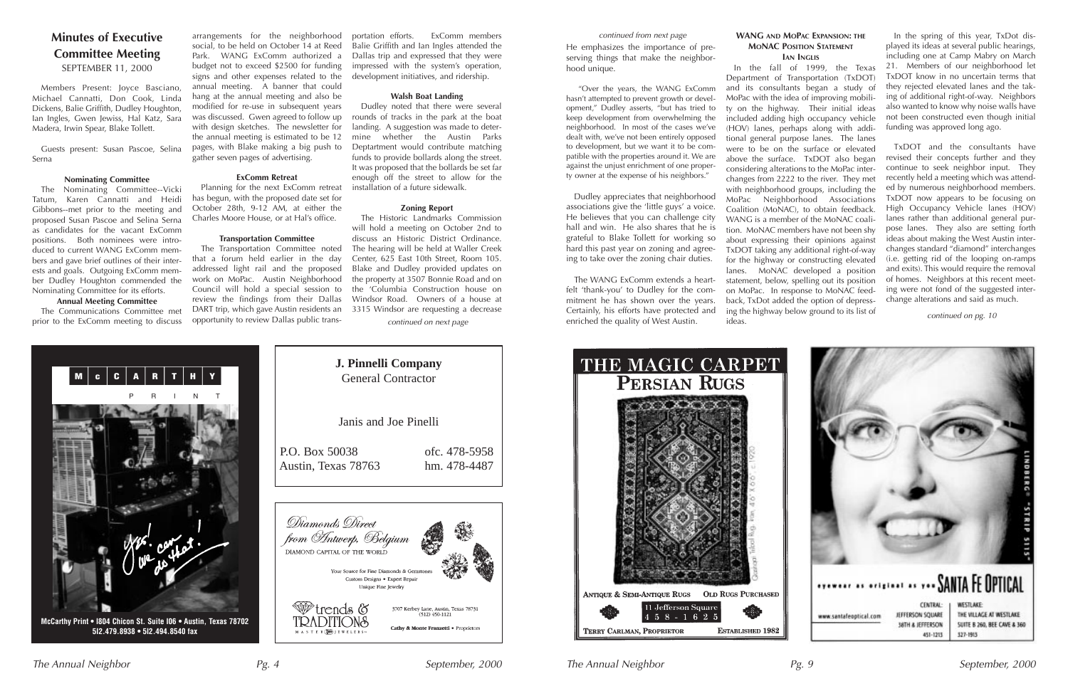

**5I2.479.8938 • 5I2.494.8540 fax**

## **Minutes of Executive Committee Meeting** SEPTEMBER 11, 2000

Members Present: Joyce Basciano, Michael Cannatti, Don Cook, Linda Dickens, Balie Griffith, Dudley Houghton, Ian Ingles, Gwen Jewiss, Hal Katz, Sara Madera, Irwin Spear, Blake Tollett.

Guests present: Susan Pascoe, Selina Serna

#### **Nominating Committee**

The Nominating Committee--Vicki Tatum, Karen Cannatti and Heidi Gibbons--met prior to the meeting and proposed Susan Pascoe and Selina Serna as candidates for the vacant ExComm positions. Both nominees were introduced to current WANG ExComm members and gave brief outlines of their interests and goals. Outgoing ExComm member Dudley Houghton commended the Nominating Committee for its efforts.

#### **Annual Meeting Committee**

The Communications Committee met prior to the ExComm meeting to discuss

M C C A R T

arrangements for the neighborhood social, to be held on October 14 at Reed Park. WANG ExComm authorized a budget not to exceed \$2500 for funding signs and other expenses related to the annual meeting. A banner that could hang at the annual meeting and also be modified for re-use in subsequent years was discussed. Gwen agreed to follow up with design sketches. The newsletter for the annual meeting is estimated to be 12 pages, with Blake making a big push to gather seven pages of advertising.

#### **ExComm Retreat**

Planning for the next ExComm retreat has begun, with the proposed date set for October 28th, 9-12 AM, at either the Charles Moore House, or at Hal's office.

#### **Transportation Committee**

The Transportation Committee noted that a forum held earlier in the day addressed light rail and the proposed work on MoPac. Austin Neighborhood Council will hold a special session to review the findings from their Dallas DART trip, which gave Austin residents an opportunity to review Dallas public trans-

portation efforts. ExComm members Balie Griffith and Ian Ingles attended the Dallas trip and expressed that they were impressed with the system's operation, development initiatives, and ridership.

#### **Walsh Boat Landing**

Dudley noted that there were several rounds of tracks in the park at the boat landing. A suggestion was made to determine whether the Austin Parks Deptartment would contribute matching funds to provide bollards along the street. It was proposed that the bollards be set far enough off the street to allow for the installation of a future sidewalk.

#### **Zoning Report**

The Historic Landmarks Commission will hold a meeting on October 2nd to discuss an Historic District Ordinance. The hearing will be held at Waller Creek Center, 625 East 10th Street, Room 105. Blake and Dudley provided updates on the property at 3507 Bonnie Road and on the 'Columbia Construction house on Windsor Road. Owners of a house at 3315 Windsor are requesting a decrease continued on next page

#### **WANG AND MOPAC EXPANSION: THE MONAC POSITION STATEMENT IAN INGLIS**

In the fall of 1999, the Texas Department of Transportation (TxDOT) and its consultants began a study of MoPac with the idea of improving mobility on the highway. Their initial ideas included adding high occupancy vehicle (HOV) lanes, perhaps along with additional general purpose lanes. The lanes were to be on the surface or elevated above the surface. TxDOT also began considering alterations to the MoPac interchanges from 2222 to the river. They met with neighborhood groups, including the MoPac Neighborhood Associations Coalition (MoNAC), to obtain feedback. WANG is a member of the MoNAC coalition. MoNAC members have not been shy about expressing their opinions against TxDOT taking any additional right-of-way for the highway or constructing elevated lanes. MoNAC developed a position statement, below, spelling out its position on MoPac. In response to MoNAC feedback, TxDot added the option of depressing the highway below ground to its list of ideas.



In the spring of this year, TxDot displayed its ideas at several public hearings, including one at Camp Mabry on March 21. Members of our neighborhood let TxDOT know in no uncertain terms that they rejected elevated lanes and the taking of additional right-of-way. Neighbors also wanted to know why noise walls have not been constructed even though initial funding was approved long ago.

TxDOT and the consultants have revised their concepts further and they continue to seek neighbor input. They recently held a meeting which was attended by numerous neighborhood members. TxDOT now appears to be focusing on High Occupancy Vehicle lanes (HOV) lanes rather than additional general purpose lanes. They also are setting forth ideas about making the West Austin interchanges standard "diamond" interchanges (i.e. getting rid of the looping on-ramps and exits). This would require the removal of homes. Neighbors at this recent meeting were not fond of the suggested interchange alterations and said as much.

continued on pg. 10



hood unique. "Over the years, the WANG ExComm hasn't attempted to prevent growth or development," Dudley asserts, "but has tried to keep development from overwhelming the neighborhood. In most of the cases we've

dealt with, we've not been entirely opposed to development, but we want it to be compatible with the properties around it. We are against the unjust enrichment of one property owner at the expense of his neighbors."

#### He emphasizes the importance of preserving things that make the neighborcontinued from next page

Dudley appreciates that neighborhood associations give the 'little guys' a voice. He believes that you can challenge city hall and win. He also shares that he is grateful to Blake Tollett for working so hard this past year on zoning and agreeing to take over the zoning chair duties.

The WANG ExComm extends a heartfelt 'thank-you' to Dudley for the commitment he has shown over the years. Certainly, his efforts have protected and enriched the quality of West Austin.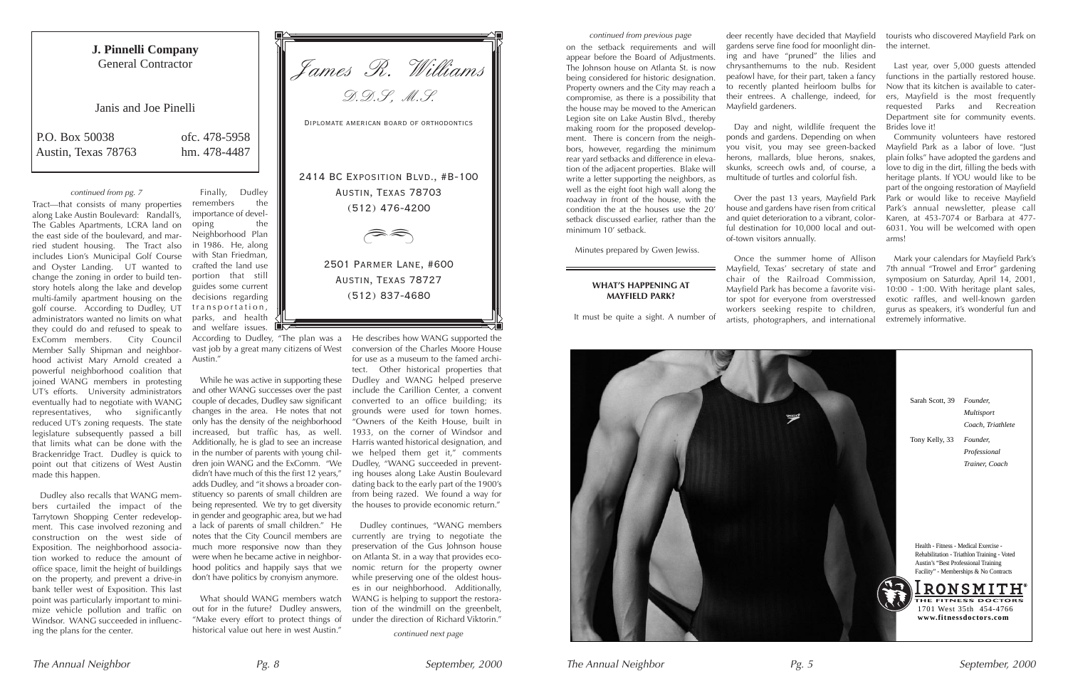



on the setback requirements and will appear before the Board of Adjustments. The Johnson house on Atlanta St. is now being considered for historic designation. Property owners and the City may reach a compromise, as there is a possibility that the house may be moved to the American Legion site on Lake Austin Blvd., thereby making room for the proposed development. There is concern from the neighbors, however, regarding the minimum rear yard setbacks and difference in elevation of the adjacent properties. Blake will write a letter supporting the neighbors, as well as the eight foot high wall along the roadway in front of the house, with the condition the at the houses use the 20' setback discussed earlier, rather than the minimum 10' setback.

Day and night, wildlife frequent the ponds and gardens. Depending on when you visit, you may see green-backed herons, mallards, blue herons, snakes, skunks, screech owls and, of course, a multitude of turtles and colorful fish.

Minutes prepared by Gwen Jewiss.

#### **WHAT'S HAPPENING AT MAYFIELD PARK?**

It must be quite a sight. A number of

deer recently have decided that Mayfield gardens serve fine food for moonlight dining and have "pruned" the lilies and chrysanthemums to the nub. Resident peafowl have, for their part, taken a fancy to recently planted heirloom bulbs for their entrees. A challenge, indeed, for Mayfield gardeners.

Over the past 13 years, Mayfield Park house and gardens have risen from critical and quiet deterioration to a vibrant, colorful destination for 10,000 local and outof-town visitors annually.

Once the summer home of Allison Mayfield, Texas' secretary of state and chair of the Railroad Commission, Mayfield Park has become a favorite visitor spot for everyone from overstressed workers seeking respite to children, artists, photographers, and international

tourists who discovered Mayfield Park on the internet.

Last year, over 5,000 guests attended functions in the partially restored house. Now that its kitchen is available to caterers, Mayfield is the most frequently requested Parks and Recreation Department site for community events. Brides love it!

Community volunteers have restored Mayfield Park as a labor of love. "Just plain folks" have adopted the gardens and love to dig in the dirt, filling the beds with heritage plants. If YOU would like to be part of the ongoing restoration of Mayfield Park or would like to receive Mayfield Park's annual newsletter, please call Karen, at 453-7074 or Barbara at 477- 6031. You will be welcomed with open arms!

Mark your calendars for Mayfield Park's 7th annual "Trowel and Error" gardening symposium on Saturday, April 14, 2001, 10:00 - 1:00. With heritage plant sales, exotic raffles, and well-known garden gurus as speakers, it's wonderful fun and extremely informative.

continued from previous page

Tract—that consists of many properties along Lake Austin Boulevard: Randall's, The Gables Apartments, LCRA land on the east side of the boulevard, and married student housing. The Tract also includes Lion's Municipal Golf Course and Oyster Landing. UT wanted to change the zoning in order to build tenstory hotels along the lake and develop multi-family apartment housing on the golf course. According to Dudley, UT administrators wanted no limits on what they could do and refused to speak to ExComm members. City Council Member Sally Shipman and neighborhood activist Mary Arnold created a powerful neighborhood coalition that joined WANG members in protesting UT's efforts. University administrators eventually had to negotiate with WANG representatives, who significantly reduced UT's zoning requests. The state legislature subsequently passed a bill that limits what can be done with the Brackenridge Tract. Dudley is quick to point out that citizens of West Austin made this happen.

Dudley also recalls that WANG members curtailed the impact of the Tarrytown Shopping Center redevelopment. This case involved rezoning and construction on the west side of Exposition. The neighborhood association worked to reduce the amount of office space, limit the height of buildings on the property, and prevent a drive-in bank teller west of Exposition. This last point was particularly important to minimize vehicle pollution and traffic on Windsor. WANG succeeded in influencing the plans for the center.

Finally, Dudley remembers the importance of developing the Neighborhood Plan in 1986. He, along with Stan Friedman, crafted the land use portion that still guides some current decisions regarding transportation, parks, and health and welfare issues.

According to Dudley, "The plan was a vast job by a great many citizens of West Austin."

While he was active in supporting these and other WANG successes over the past couple of decades, Dudley saw significant changes in the area. He notes that not only has the density of the neighborhood increased, but traffic has, as well. Additionally, he is glad to see an increase in the number of parents with young children join WANG and the ExComm. "We didn't have much of this the first 12 years," adds Dudley, and "it shows a broader constituency so parents of small children are being represented. We try to get diversity in gender and geographic area, but we had a lack of parents of small children." He notes that the City Council members are much more responsive now than they were when he became active in neighborhood politics and happily says that we don't have politics by cronyism anymore.

What should WANG members watch out for in the future? Dudley answers, "Make every effort to protect things of historical value out here in west Austin."

He describes how WANG supported the conversion of the Charles Moore House for use as a museum to the famed architect. Other historical properties that Dudley and WANG helped preserve include the Carillion Center, a convent converted to an office building; its grounds were used for town homes. "Owners of the Keith House, built in 1933, on the corner of Windsor and Harris wanted historical designation, and we helped them get it," comments Dudley, "WANG succeeded in preventing houses along Lake Austin Boulevard dating back to the early part of the 1900's from being razed. We found a way for the houses to provide economic return."

Dudley continues, "WANG members currently are trying to negotiate the preservation of the Gus Johnson house on Atlanta St. in a way that provides economic return for the property owner while preserving one of the oldest houses in our neighborhood. Additionally, WANG is helping to support the restoration of the windmill on the greenbelt, under the direction of Richard Viktorin."

continued from pg. 7

James R. Williams

D.D.S, M.S. Diplomate american board of orthodontics 2414 BC EXPOSITION BLVD., #B-100 Austin, Texas 78703 (512) 476-4200 Dd

> 2501 Parmer Lane, #600 Austin, Texas 78727 (512) 837-4680

> > continued next page